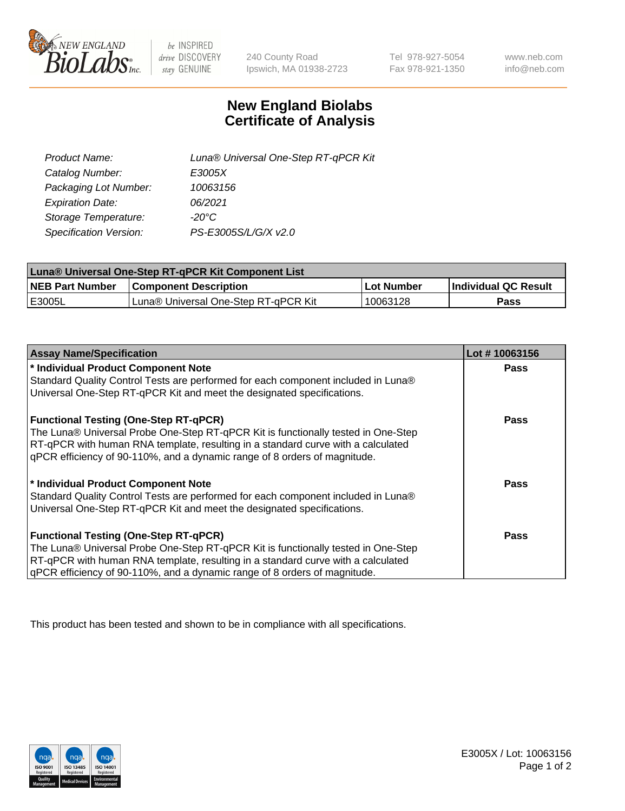

 $be$  INSPIRED drive DISCOVERY stay GENUINE

240 County Road Ipswich, MA 01938-2723 Tel 978-927-5054 Fax 978-921-1350 www.neb.com info@neb.com

## **New England Biolabs Certificate of Analysis**

| Product Name:                 | Luna® Universal One-Step RT-qPCR Kit |
|-------------------------------|--------------------------------------|
| Catalog Number:               | E3005X                               |
| Packaging Lot Number:         | 10063156                             |
| <b>Expiration Date:</b>       | 06/2021                              |
| Storage Temperature:          | $-20^{\circ}$ C                      |
| <b>Specification Version:</b> | PS-E3005S/L/G/X v2.0                 |

| Luna® Universal One-Step RT-qPCR Kit Component List |                                      |             |                      |  |
|-----------------------------------------------------|--------------------------------------|-------------|----------------------|--|
| <b>NEB Part Number</b>                              | <b>Component Description</b>         | ⊺Lot Number | Individual QC Result |  |
| <b>IE3005L</b>                                      | Luna® Universal One-Step RT-qPCR Kit | 10063128    | <b>Pass</b>          |  |

| <b>Assay Name/Specification</b>                                                   | Lot #10063156 |
|-----------------------------------------------------------------------------------|---------------|
| * Individual Product Component Note                                               | <b>Pass</b>   |
| Standard Quality Control Tests are performed for each component included in Luna® |               |
| Universal One-Step RT-qPCR Kit and meet the designated specifications.            |               |
| <b>Functional Testing (One-Step RT-qPCR)</b>                                      | <b>Pass</b>   |
| The Luna® Universal Probe One-Step RT-qPCR Kit is functionally tested in One-Step |               |
| RT-qPCR with human RNA template, resulting in a standard curve with a calculated  |               |
| qPCR efficiency of 90-110%, and a dynamic range of 8 orders of magnitude.         |               |
| * Individual Product Component Note                                               | <b>Pass</b>   |
| Standard Quality Control Tests are performed for each component included in Luna® |               |
| Universal One-Step RT-qPCR Kit and meet the designated specifications.            |               |
| <b>Functional Testing (One-Step RT-qPCR)</b>                                      | Pass          |
| The Luna® Universal Probe One-Step RT-qPCR Kit is functionally tested in One-Step |               |
| RT-qPCR with human RNA template, resulting in a standard curve with a calculated  |               |
| gPCR efficiency of 90-110%, and a dynamic range of 8 orders of magnitude.         |               |

This product has been tested and shown to be in compliance with all specifications.